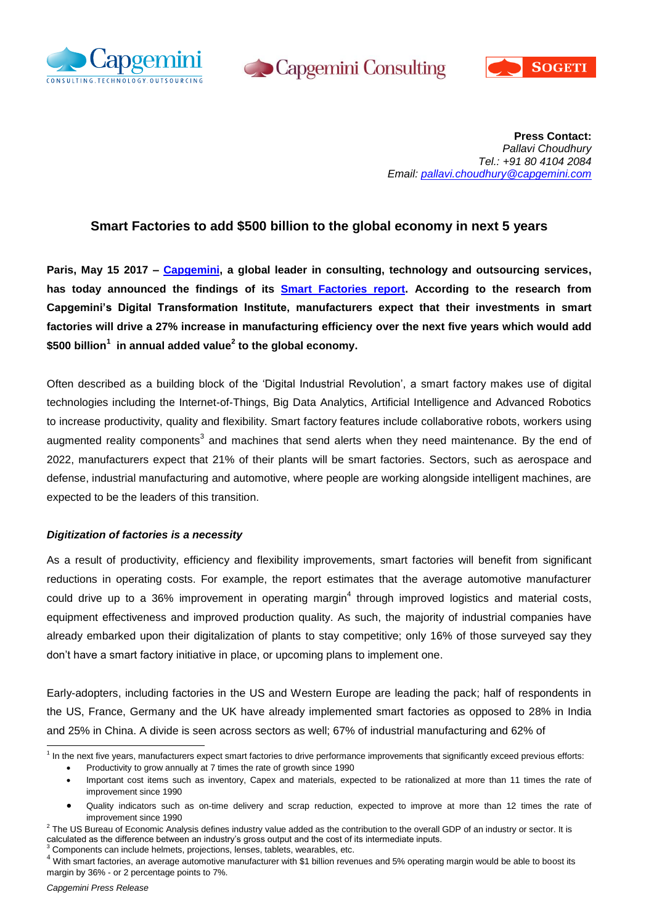





**Press Contact:** *Pallavi Choudhury Tel.: +91 80 4104 2084 Email: [pallavi.choudhury@capgemini.com](mailto:pallavi.choudhury@capgemini.com)*

# **Smart Factories to add \$500 billion to the global economy in next 5 years**

**Paris, May 15 2017 – [Capgemini,](https://www.capgemini.com/) a global leader in consulting, technology and outsourcing services, has today announced the findings of its [Smart Factories report.](https://www.capgemini.com/digital-manufacturing/smart-factories-and-the-modern-manufacturer) According to the research from Capgemini's Digital Transformation Institute, manufacturers expect that their investments in smart factories will drive a 27% increase in manufacturing efficiency over the next five years which would add \$500 billion<sup>1</sup> in annual added value<sup>2</sup> to the global economy.** 

Often described as a building block of the 'Digital Industrial Revolution', a smart factory makes use of digital technologies including the Internet-of-Things, Big Data Analytics, Artificial Intelligence and Advanced Robotics to increase productivity, quality and flexibility. Smart factory features include collaborative robots, workers using augmented reality components<sup>3</sup> and machines that send alerts when they need maintenance. By the end of 2022, manufacturers expect that 21% of their plants will be smart factories. Sectors, such as aerospace and defense, industrial manufacturing and automotive, where people are working alongside intelligent machines, are expected to be the leaders of this transition.

## *Digitization of factories is a necessity*

As a result of productivity, efficiency and flexibility improvements, smart factories will benefit from significant reductions in operating costs. For example, the report estimates that the average automotive manufacturer could drive up to a 36% improvement in operating margin<sup>4</sup> through improved logistics and material costs, equipment effectiveness and improved production quality. As such, the majority of industrial companies have already embarked upon their digitalization of plants to stay competitive; only 16% of those surveyed say they don't have a smart factory initiative in place, or upcoming plans to implement one.

Early-adopters, including factories in the US and Western Europe are leading the pack; half of respondents in the US, France, Germany and the UK have already implemented smart factories as opposed to 28% in India and 25% in China. A divide is seen across sectors as well; 67% of industrial manufacturing and 62% of

Components can include helmets, projections, lenses, tablets, wearables, etc.

 1 In the next five years, manufacturers expect smart factories to drive performance improvements that significantly exceed previous efforts: Productivity to grow annually at 7 times the rate of growth since 1990

Important cost items such as inventory, Capex and materials, expected to be rationalized at more than 11 times the rate of improvement since 1990

Quality indicators such as on-time delivery and scrap reduction, expected to improve at more than 12 times the rate of improvement since 1990

 $^2$  The US Bureau of Economic Analysis defines industry value added as the contribution to the overall GDP of an industry or sector. It is calculated as the difference between an industry's gross output and the cost of its intermediate inputs.

 $4$  With smart factories, an average automotive manufacturer with \$1 billion revenues and 5% operating margin would be able to boost its margin by 36% - or 2 percentage points to 7%.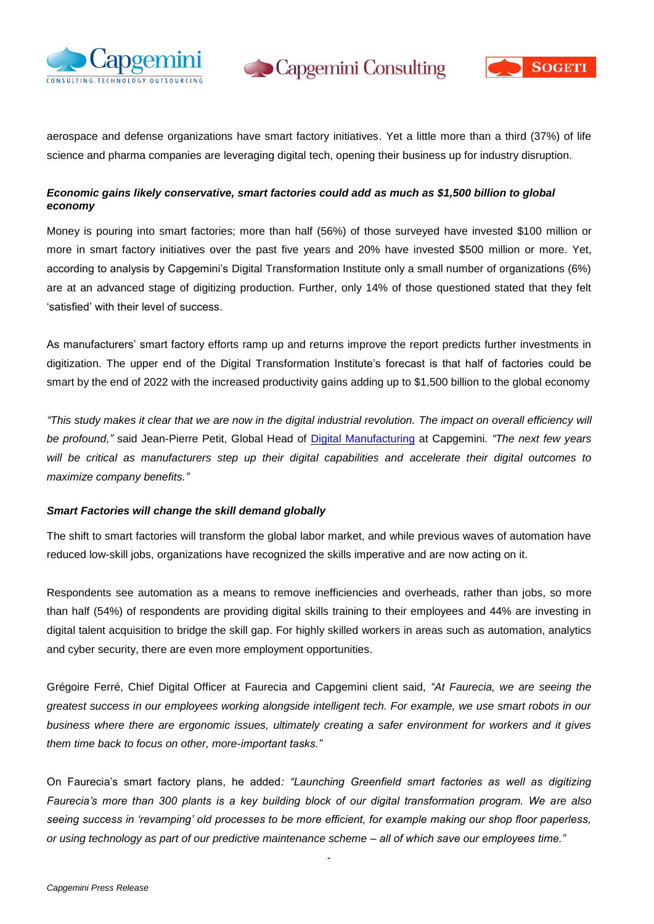



aerospace and defense organizations have smart factory initiatives. Yet a little more than a third (37%) of life science and pharma companies are leveraging digital tech, opening their business up for industry disruption.

## *Economic gains likely conservative, smart factories could add as much as \$1,500 billion to global economy*

Money is pouring into smart factories; more than half (56%) of those surveyed have invested \$100 million or more in smart factory initiatives over the past five years and 20% have invested \$500 million or more. Yet, according to analysis by Capgemini's Digital Transformation Institute only a small number of organizations (6%) are at an advanced stage of digitizing production. Further, only 14% of those questioned stated that they felt 'satisfied' with their level of success.

As manufacturers' smart factory efforts ramp up and returns improve the report predicts further investments in digitization. The upper end of the Digital Transformation Institute's forecast is that half of factories could be smart by the end of 2022 with the increased productivity gains adding up to \$1,500 billion to the global economy

*"This study makes it clear that we are now in the digital industrial revolution. The impact on overall efficiency will be profound,"* said Jean-Pierre Petit, Global Head of [Digital Manufacturing](https://www.capgemini.com/digital-manufacturing) at Capgemini*. "The next few years will be critical as manufacturers step up their digital capabilities and accelerate their digital outcomes to maximize company benefits."*

## *Smart Factories will change the skill demand globally*

The shift to smart factories will transform the global labor market, and while previous waves of automation have reduced low-skill jobs, organizations have recognized the skills imperative and are now acting on it.

Respondents see automation as a means to remove inefficiencies and overheads, rather than jobs, so more than half (54%) of respondents are providing digital skills training to their employees and 44% are investing in digital talent acquisition to bridge the skill gap. For highly skilled workers in areas such as automation, analytics and cyber security, there are even more employment opportunities.

Grégoire Ferré, Chief Digital Officer at Faurecia and Capgemini client said, *"At Faurecia, we are seeing the greatest success in our employees working alongside intelligent tech. For example, we use smart robots in our business where there are ergonomic issues, ultimately creating a safer environment for workers and it gives them time back to focus on other, more-important tasks."* 

On Faurecia's smart factory plans, he added*: "Launching Greenfield smart factories as well as digitizing Faurecia's more than 300 plants is a key building block of our digital transformation program. We are also seeing success in 'revamping' old processes to be more efficient, for example making our shop floor paperless, or using technology as part of our predictive maintenance scheme – all of which save our employees time."* 

-